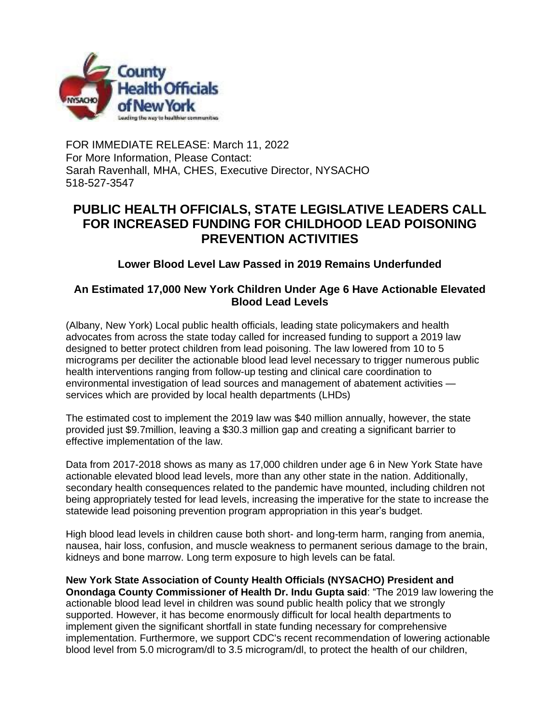

FOR IMMEDIATE RELEASE: March 11, 2022 For More Information, Please Contact: Sarah Ravenhall, MHA, CHES, Executive Director, NYSACHO 518-527-3547

## **PUBLIC HEALTH OFFICIALS, STATE LEGISLATIVE LEADERS CALL FOR INCREASED FUNDING FOR CHILDHOOD LEAD POISONING PREVENTION ACTIVITIES**

**Lower Blood Level Law Passed in 2019 Remains Underfunded**

## **An Estimated 17,000 New York Children Under Age 6 Have Actionable Elevated Blood Lead Levels**

(Albany, New York) Local public health officials, leading state policymakers and health advocates from across the state today called for increased funding to support a 2019 law designed to better protect children from lead poisoning. The law lowered from 10 to 5 micrograms per deciliter the actionable blood lead level necessary to trigger numerous public health interventions ranging from follow-up testing and clinical care coordination to environmental investigation of lead sources and management of abatement activities services which are provided by local health departments (LHDs)

The estimated cost to implement the 2019 law was \$40 million annually, however, the state provided just \$9.7million, leaving a \$30.3 million gap and creating a significant barrier to effective implementation of the law.

Data from 2017-2018 shows as many as 17,000 children under age 6 in New York State have actionable elevated blood lead levels, more than any other state in the nation. Additionally, secondary health consequences related to the pandemic have mounted, including children not being appropriately tested for lead levels, increasing the imperative for the state to increase the statewide lead poisoning prevention program appropriation in this year's budget.

High blood lead levels in children cause both short- and long-term harm, ranging from anemia, nausea, hair loss, confusion, and muscle weakness to permanent serious damage to the brain, kidneys and bone marrow. Long term exposure to high levels can be fatal.

**New York State Association of County Health Officials (NYSACHO) President and Onondaga County Commissioner of Health Dr. Indu Gupta said**: "The 2019 law lowering the actionable blood lead level in children was sound public health policy that we strongly supported. However, it has become enormously difficult for local health departments to implement given the significant shortfall in state funding necessary for comprehensive implementation. Furthermore, we support CDC's recent recommendation of lowering actionable blood level from 5.0 microgram/dl to 3.5 microgram/dl, to protect the health of our children,